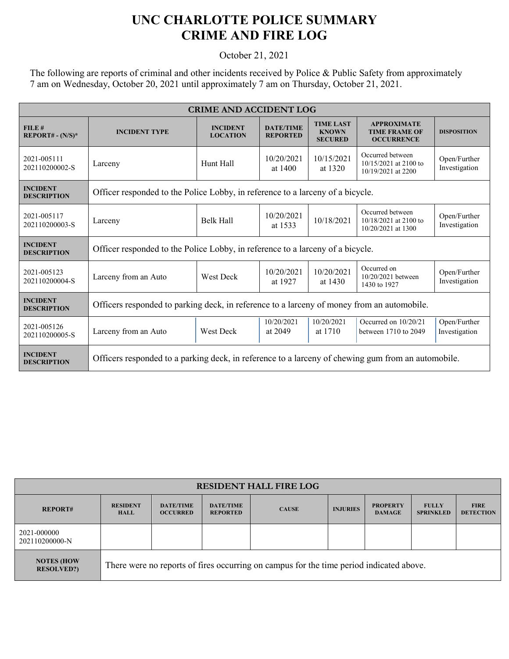## **UNC CHARLOTTE POLICE SUMMARY CRIME AND FIRE LOG**

October 21, 2021

The following are reports of criminal and other incidents received by Police & Public Safety from approximately 7 am on Wednesday, October 20, 2021 until approximately 7 am on Thursday, October 21, 2021.

| <b>CRIME AND ACCIDENT LOG</b>         |                                                                                                    |                                    |                                     |                                                    |                                                                   |                               |  |
|---------------------------------------|----------------------------------------------------------------------------------------------------|------------------------------------|-------------------------------------|----------------------------------------------------|-------------------------------------------------------------------|-------------------------------|--|
| FILE#<br>$REPORT# - (N/S)*$           | <b>INCIDENT TYPE</b>                                                                               | <b>INCIDENT</b><br><b>LOCATION</b> | <b>DATE/TIME</b><br><b>REPORTED</b> | <b>TIME LAST</b><br><b>KNOWN</b><br><b>SECURED</b> | <b>APPROXIMATE</b><br><b>TIME FRAME OF</b><br><b>OCCURRENCE</b>   | <b>DISPOSITION</b>            |  |
| 2021-005111<br>202110200002-S         | Larceny                                                                                            | Hunt Hall                          | 10/20/2021<br>at 1400               | 10/15/2021<br>at 1320                              | Occurred between<br>$10/15/2021$ at 2100 to<br>10/19/2021 at 2200 | Open/Further<br>Investigation |  |
| <b>INCIDENT</b><br><b>DESCRIPTION</b> | Officer responded to the Police Lobby, in reference to a larceny of a bicycle.                     |                                    |                                     |                                                    |                                                                   |                               |  |
| 2021-005117<br>202110200003-S         | Larceny                                                                                            | <b>Belk Hall</b>                   | 10/20/2021<br>at 1533               | 10/18/2021                                         | Occurred between<br>10/18/2021 at 2100 to<br>10/20/2021 at 1300   | Open/Further<br>Investigation |  |
| <b>INCIDENT</b><br><b>DESCRIPTION</b> | Officer responded to the Police Lobby, in reference to a larceny of a bicycle.                     |                                    |                                     |                                                    |                                                                   |                               |  |
| 2021-005123<br>202110200004-S         | Larceny from an Auto                                                                               | West Deck                          | 10/20/2021<br>at 1927               | 10/20/2021<br>at 1430                              | Occurred on<br>10/20/2021 between<br>1430 to 1927                 | Open/Further<br>Investigation |  |
| <b>INCIDENT</b><br><b>DESCRIPTION</b> | Officers responded to parking deck, in reference to a larceny of money from an automobile.         |                                    |                                     |                                                    |                                                                   |                               |  |
| 2021-005126<br>202110200005-S         | Larceny from an Auto                                                                               | West Deck                          | 10/20/2021<br>at 2049               | 10/20/2021<br>at 1710                              | Occurred on $10/20/21$<br>between 1710 to 2049                    | Open/Further<br>Investigation |  |
| <b>INCIDENT</b><br><b>DESCRIPTION</b> | Officers responded to a parking deck, in reference to a larceny of chewing gum from an automobile. |                                    |                                     |                                                    |                                                                   |                               |  |

| <b>RESIDENT HALL FIRE LOG</b>         |                                                                                         |                                     |                                     |              |                 |                                  |                                  |                                 |
|---------------------------------------|-----------------------------------------------------------------------------------------|-------------------------------------|-------------------------------------|--------------|-----------------|----------------------------------|----------------------------------|---------------------------------|
| <b>REPORT#</b>                        | <b>RESIDENT</b><br><b>HALL</b>                                                          | <b>DATE/TIME</b><br><b>OCCURRED</b> | <b>DATE/TIME</b><br><b>REPORTED</b> | <b>CAUSE</b> | <b>INJURIES</b> | <b>PROPERTY</b><br><b>DAMAGE</b> | <b>FULLY</b><br><b>SPRINKLED</b> | <b>FIRE</b><br><b>DETECTION</b> |
| 2021-000000<br>202110200000-N         |                                                                                         |                                     |                                     |              |                 |                                  |                                  |                                 |
| <b>NOTES (HOW</b><br><b>RESOLVED?</b> | There were no reports of fires occurring on campus for the time period indicated above. |                                     |                                     |              |                 |                                  |                                  |                                 |